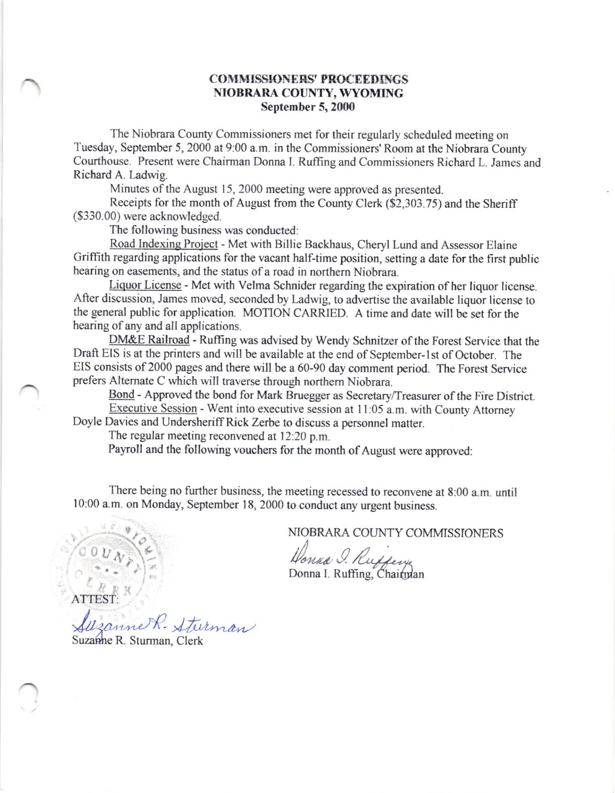## COMMISSIONERS' PROCEEDINGS NIOBRARA COUNTY, WYOMING September 5, 2000

The Niobrara County Commissioners met for their regularly scheduled meeting on Tuesday, September 5,2000 at 9:00 a.m. in the Commissioners' Room at the Niobrara County Courthouse. Present were Chairman Donna I. Ruffing and Commissioners Richard L. James and Richard A. Ladwig.

Minutes of the August 15, 2000 meeting were approved as presented.

Receipts for the month of August from the County Clerk (\$2,303.75) and the Sheriff (\$330.00) were acknowledged.

The following business was conducted:

Road Indexing Project - Met with Billie Backhaus, Cheryl Lund and Assessor Elaine Griffith regarding applications for the vacant half-time position, setting a date for the first public hearing on easements, and the status of a road in northern Niobrara.

Liquor License - Met with Velma Schnider regarding the expiration of her liquor license. After discussion, James moved, seconded by Ladwig, to advertise the available liquor license to the general public for application. MOTION CARRIED. A time and date will be set for the hearing of any and all applications.

DM&E Railroad - Ruffing was advised by Wendy Schnitzer of the Forest Service that the Draft EIS is at the printers and will be available at the end of September-1st of October. The EIS consists of2000 pages and there will be a 60-90 day comment period. The Forest Service prefers Altemate C which will traverse through northem Niobrara.

Bond - Approved the bond for Mark Bruegger as Secretary/Treasurer of the Fire District. Executive Session - Went into executive session at l1:05 a.m. with County Attorney

Doyle Davies and Undersheriff Rick Zerbe to discuss a personnel matter.

The regular meeting reconvened at 12:20 p.m.

Payroll and the following vouchers for the month of August were approved:

There being no further business, the meeting recessed to reconvene at 8:00 a.m. until l0:00 a.m. on Monday, September 18, 2000 to conduct any urgent business.

NIOBRARA COUNTY COMMISSIONERS

Honna I.

 $\mathbb{E} \left[ \begin{array}{c} \mathbb{E} & \mathbb{E} \\ \mathbb{E} & \mathbb{E} \end{array} \right]$  to the point of the Donna I. Ruffing,

Suzanne R. Sturman Suzanne R. Sturman, Clerk

ATTEST: